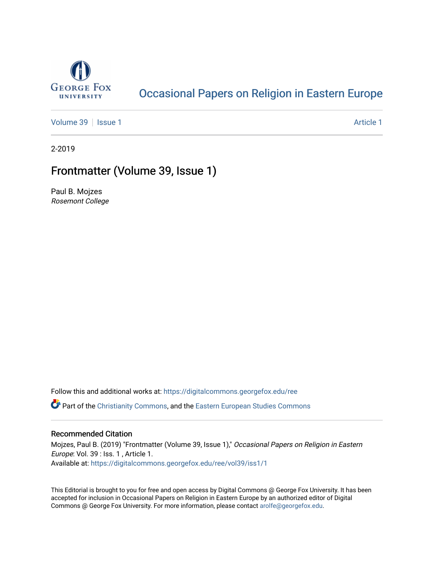

# [Occasional Papers on Religion in Eastern Europe](https://digitalcommons.georgefox.edu/ree)

[Volume 39](https://digitalcommons.georgefox.edu/ree/vol39) | [Issue 1](https://digitalcommons.georgefox.edu/ree/vol39/iss1) Article 1

2-2019

# Frontmatter (Volume 39, Issue 1)

Paul B. Mojzes Rosemont College

Follow this and additional works at: [https://digitalcommons.georgefox.edu/ree](https://digitalcommons.georgefox.edu/ree?utm_source=digitalcommons.georgefox.edu%2Free%2Fvol39%2Fiss1%2F1&utm_medium=PDF&utm_campaign=PDFCoverPages) 

**C** Part of the [Christianity Commons,](http://network.bepress.com/hgg/discipline/1181?utm_source=digitalcommons.georgefox.edu%2Free%2Fvol39%2Fiss1%2F1&utm_medium=PDF&utm_campaign=PDFCoverPages) and the [Eastern European Studies Commons](http://network.bepress.com/hgg/discipline/362?utm_source=digitalcommons.georgefox.edu%2Free%2Fvol39%2Fiss1%2F1&utm_medium=PDF&utm_campaign=PDFCoverPages)

## Recommended Citation

Mojzes, Paul B. (2019) "Frontmatter (Volume 39, Issue 1)," Occasional Papers on Religion in Eastern Europe: Vol. 39 : Iss. 1 , Article 1. Available at: [https://digitalcommons.georgefox.edu/ree/vol39/iss1/1](https://digitalcommons.georgefox.edu/ree/vol39/iss1/1?utm_source=digitalcommons.georgefox.edu%2Free%2Fvol39%2Fiss1%2F1&utm_medium=PDF&utm_campaign=PDFCoverPages) 

This Editorial is brought to you for free and open access by Digital Commons @ George Fox University. It has been accepted for inclusion in Occasional Papers on Religion in Eastern Europe by an authorized editor of Digital Commons @ George Fox University. For more information, please contact [arolfe@georgefox.edu](mailto:arolfe@georgefox.edu).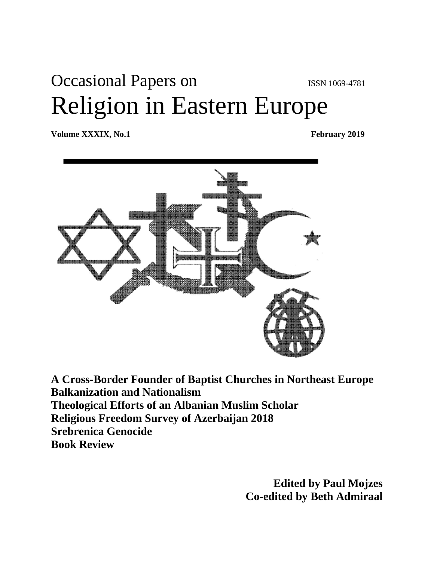# Occasional Papers on ISSN 1069-4781 Religion in Eastern Europe

**Volume XXXIX, No.1** February 2019



**A Cross-Border Founder of Baptist Churches in Northeast Europe Balkanization and Nationalism Theological Efforts of an Albanian Muslim Scholar Religious Freedom Survey of Azerbaijan 2018 Srebrenica Genocide Book Review**

> **Edited by Paul Mojzes Co-edited by Beth Admiraal**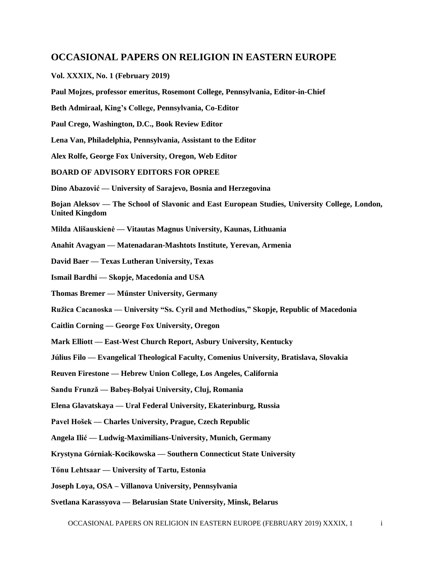# **OCCASIONAL PAPERS ON RELIGION IN EASTERN EUROPE**

**Vol. XXXIX, No. 1 (February 2019)**

**Paul Mojzes, professor emeritus, Rosemont College, Pennsylvania, Editor-in-Chief**

**Beth Admiraal, King's College, Pennsylvania, Co-Editor** 

**Paul Crego, Washington, D.C., Book Review Editor**

**Lena Van, Philadelphia, Pennsylvania, Assistant to the Editor**

**Alex Rolfe, George Fox University, Oregon, Web Editor**

**BOARD OF ADVISORY EDITORS FOR OPREE**

**Dino Abazović — University of Sarajevo, Bosnia and Herzegovina** 

**Bojan Aleksov — The School of Slavonic and East European Studies, University College, London, United Kingdom** 

**Milda Ališauskienė — Vitautas Magnus University, Kaunas, Lithuania**

**Anahit Avagyan — Matenadaran-Mashtots Institute, Yerevan, Armenia**

**David Baer — Texas Lutheran University, Texas** 

**Ismail Bardhi — Skopje, Macedonia and USA** 

**Thomas Bremer — Műnster University, Germany**

**Ružica Cacanoska — University "Ss. Cyril and Methodius," Skopje, Republic of Macedonia** 

**Caitlin Corning — George Fox University, Oregon**

- **Mark Elliott — East-West Church Report, Asbury University, Kentucky**
- **Július Filo — Evangelical Theological Faculty, Comenius University, Bratislava, Slovakia**

**Reuven Firestone — Hebrew Union College, Los Angeles, California**

**Sandu Frunzǎ — Babeș-Bolyai University, Cluj, Romania** 

**Elena Glavatskaya — Ural Federal University, Ekaterinburg, Russia** 

**Pavel Hošek — Charles University, Prague, Czech Republic**

**Angela Ilić — Ludwig-Maximilians-University, Munich, Germany** 

**Krystyna Górniak-Kocikowska — Southern Connecticut State University** 

**Tőnu Lehtsaar — University of Tartu, Estonia**

**Joseph Loya, OSA – Villanova University, Pennsylvania** 

**Svetlana Karassyova — Belarusian State University, Minsk, Belarus**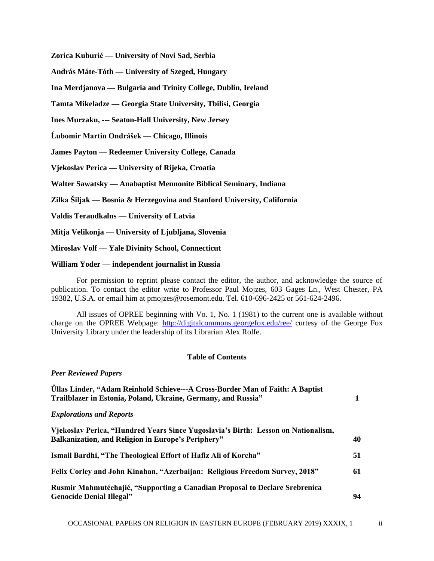**Zorica Kuburić — University of Novi Sad, Serbia** 

**András Máte-Tóth — University of Szeged, Hungary** 

**Ina Merdjanova — Bulgaria and Trinity College, Dublin, Ireland** 

**Tamta Mikeladze — Georgia State University, Tbilisi, Georgia**

**Ines Murzaku, --- Seaton-Hall University, New Jersey** 

**Ĺubomir Martin Ondrášek — Chicago, Illinois**

**James Payton — Redeemer University College, Canada** 

**Vjekoslav Perica — University of Rijeka, Croatia** 

**Walter Sawatsky — Anabaptist Mennonite Biblical Seminary, Indiana**

**Zilka Šiljak — Bosnia & Herzegovina and Stanford University, California**

**Valdis Teraudkalns — University of Latvia**

**Mitja Velikonja — University of Ljubljana, Slovenia**

**Miroslav Volf — Yale Divinity School, Connecticut** 

#### **William Yoder — independent journalist in Russia**

For permission to reprint please contact the editor, the author, and acknowledge the source of publication. To contact the editor write to Professor Paul Mojzes, 603 Gages Ln., West Chester, PA 19382, U.S.A. or email him at pmojzes@rosemont.edu. Tel. 610-696-2425 or 561-624-2496.

All issues of OPREE beginning with Vo. 1, No. 1 (1981) to the current one is available without charge on the OPREE Webpage:<http://digitalcommons.georgefox.edu/ree/> curtesy of the George Fox University Library under the leadership of its Librarian Alex Rolfe.

## **Table of Contents**

## *Peer Reviewed Papers*

| <b>Üllas Linder, "Adam Reinhold Schieve---A Cross-Border Man of Faith: A Baptist</b><br>Trailblazer in Estonia, Poland, Ukraine, Germany, and Russia" |    |
|-------------------------------------------------------------------------------------------------------------------------------------------------------|----|
| <b>Explorations and Reports</b>                                                                                                                       |    |
| Vjekoslav Perica, "Hundred Years Since Yugoslavia's Birth: Lesson on Nationalism,<br><b>Balkanization, and Religion in Europe's Periphery"</b>        | 40 |
| Ismail Bardhi, "The Theological Effort of Hafiz Ali of Korcha"                                                                                        | 51 |
| Felix Corley and John Kinahan, "Azerbaijan: Religious Freedom Survey, 2018"                                                                           | 61 |
| Rusmir Mahmutćehajić, "Supporting a Canadian Proposal to Declare Srebrenica<br><b>Genocide Denial Illegal"</b>                                        | 94 |